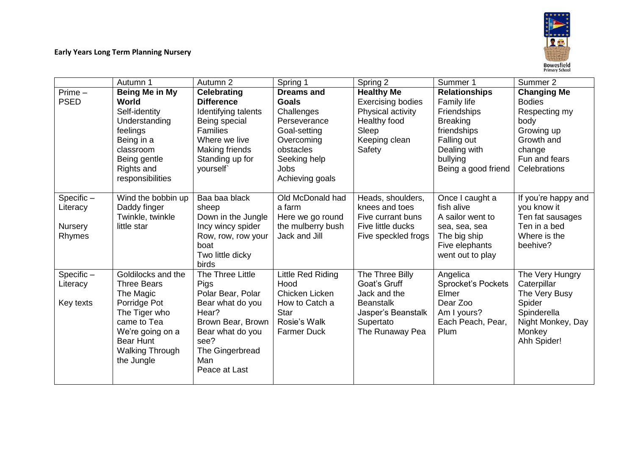

|              | Autumn 1               | Autumn 2            | Spring 1           | Spring 2                 | Summer 1                  | Summer 2            |
|--------------|------------------------|---------------------|--------------------|--------------------------|---------------------------|---------------------|
| $Prime -$    | Being Me in My         | <b>Celebrating</b>  | <b>Dreams and</b>  | <b>Healthy Me</b>        | <b>Relationships</b>      | <b>Changing Me</b>  |
| <b>PSED</b>  | World                  | <b>Difference</b>   | <b>Goals</b>       | <b>Exercising bodies</b> | Family life               | <b>Bodies</b>       |
|              | Self-identity          | Identifying talents | Challenges         | Physical activity        | <b>Friendships</b>        | Respecting my       |
|              | Understanding          | Being special       | Perseverance       | Healthy food             | <b>Breaking</b>           | body                |
|              | feelings               | <b>Families</b>     | Goal-setting       | Sleep                    | friendships               | Growing up          |
|              | Being in a             | Where we live       | Overcoming         | Keeping clean            | Falling out               | Growth and          |
|              | classroom              | Making friends      | obstacles          | Safety                   | Dealing with              | change              |
|              | Being gentle           | Standing up for     | Seeking help       |                          | bullying                  | Fun and fears       |
|              | Rights and             | yourself            | Jobs               |                          | Being a good friend       | Celebrations        |
|              | responsibilities       |                     | Achieving goals    |                          |                           |                     |
| Specific-    | Wind the bobbin up     | Baa baa black       | Old McDonald had   | Heads, shoulders,        | Once I caught a           | If you're happy and |
| Literacy     | Daddy finger           | sheep               | a farm             | knees and toes           | fish alive                | you know it         |
|              | Twinkle, twinkle       | Down in the Jungle  | Here we go round   | Five currant buns        | A sailor went to          | Ten fat sausages    |
| Nursery      | little star            | Incy wincy spider   | the mulberry bush  | Five little ducks        | sea, sea, sea             | Ten in a bed        |
| Rhymes       |                        | Row, row, row your  | Jack and Jill      | Five speckled frogs      | The big ship              | Where is the        |
|              |                        | boat                |                    |                          | Five elephants            | beehive?            |
|              |                        | Two little dicky    |                    |                          | went out to play          |                     |
|              |                        | birds               |                    |                          |                           |                     |
| $Specific -$ | Goldilocks and the     | The Three Little    | Little Red Riding  | The Three Billy          | Angelica                  | The Very Hungry     |
| Literacy     | <b>Three Bears</b>     | Pigs                | Hood               | Goat's Gruff             | <b>Sprocket's Pockets</b> | Caterpillar         |
|              | The Magic              | Polar Bear, Polar   | Chicken Licken     | Jack and the             | Elmer                     | The Very Busy       |
| Key texts    | Porridge Pot           | Bear what do you    | How to Catch a     | <b>Beanstalk</b>         | Dear Zoo                  | Spider              |
|              | The Tiger who          | Hear?               | <b>Star</b>        | Jasper's Beanstalk       | Am I yours?               | Spinderella         |
|              | came to Tea            | Brown Bear, Brown   | Rosie's Walk       | Supertato                | Each Peach, Pear,         | Night Monkey, Day   |
|              | We're going on a       | Bear what do you    | <b>Farmer Duck</b> | The Runaway Pea          | Plum                      | Monkey              |
|              | <b>Bear Hunt</b>       | see?                |                    |                          |                           | Ahh Spider!         |
|              | <b>Walking Through</b> | The Gingerbread     |                    |                          |                           |                     |
|              | the Jungle             | Man                 |                    |                          |                           |                     |
|              |                        | Peace at Last       |                    |                          |                           |                     |
|              |                        |                     |                    |                          |                           |                     |